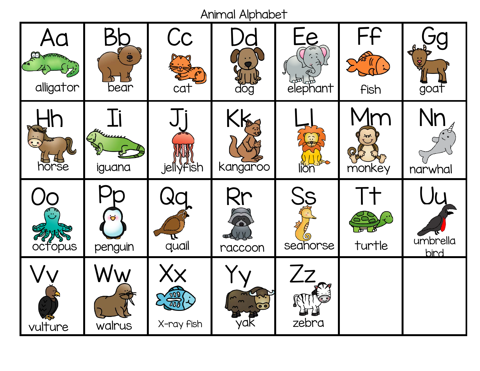Animal Alphabet

| Aa<br>alligator | $\ddot{\bullet}$<br>bear       | Cc<br>cat                                                  | doğ            | $=$ e $=$<br>l <sub>काल</sub> )<br>elephant | FF<br>Fish   | goat             |
|-----------------|--------------------------------|------------------------------------------------------------|----------------|---------------------------------------------|--------------|------------------|
| horse           | li<br>iguana                   | J<br><b>jellyfish</b>                                      | Kk<br>kangaroo | lion                                        | Im<br>monkey | Nr<br>narwhal    |
| Crews           | $\ddot{\mathbf{C}}$<br>penguin | quail                                                      | Rr<br>raccoon  | Ss<br>seahorse                              | Г+<br>turtle | umbrella<br>bird |
| vulture         | Ww<br>walrus                   | $\mathsf{X} \mathsf{X}$<br>$\frac{100}{200}$<br>X-ray fish | /QK            | 7z<br>zebra                                 |              |                  |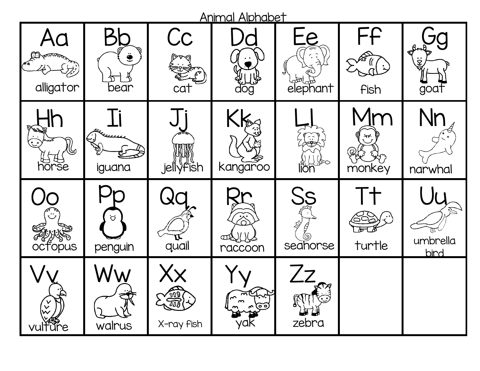| <b>Animal Alphabet</b>                  |                           |                                |                                    |                                                   |              |                                  |  |  |  |  |  |
|-----------------------------------------|---------------------------|--------------------------------|------------------------------------|---------------------------------------------------|--------------|----------------------------------|--|--|--|--|--|
| alligator                               | $\ddot{\bullet}$<br>bear  | Cc<br>cat                      | dog                                | Pλ<br>l <sub>o</sub> bt <sub>ab</sub><br>elephant | FF<br>Fish   | $\overline{\mathcal{Z}}$<br>goat |  |  |  |  |  |
| فوجي<br>$H \oplus H$                    | iguana                    | jellyfish                      | Kka<br>kangaroo                    | lion                                              | ふが<br>monkey | narwhal                          |  |  |  |  |  |
| <b>octopus</b>                          | $\ddot{\circ}$<br>penguin | quail                          | ╳<br>΄<br><b>CENTRO</b><br>PACCOON | Ss<br>Seahorse                                    | turtle       | umbrella<br>bird                 |  |  |  |  |  |
| $\checkmark$<br>$\checkmark$<br>vulfure | walrus                    | $\binom{5}{200}$<br>X-ray fish | $\sim$<br>ರ್                       | zebra                                             |              |                                  |  |  |  |  |  |